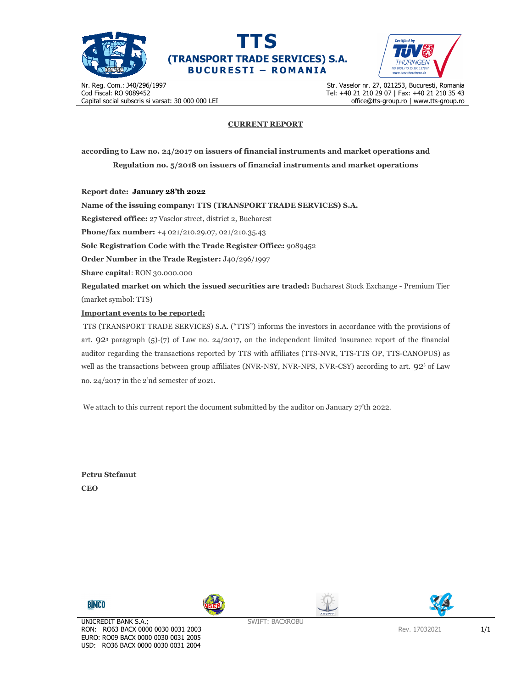



Certified by

Nr. Reg. Com.: J40/296/1997 Cod Fiscal: RO 9089452 Capital social subscris si varsat: 30 000 000 LEI

Str. Vaselor nr. 27, 021253, Bucuresti, Romania Tel: +40 21 210 29 07 | Fax: +40 21 210 35 43 office@tts-group.ro | www.tts-group.ro

#### **CURRENT REPORT**

**according to Law no. 24/2017 on issuers of financial instruments and market operations and Regulation no. 5/2018 on issuers of financial instruments and market operations** 

**Report date: January 28'th 2022**

**Name of the issuing company: TTS (TRANSPORT TRADE SERVICES) S.A.**

**Registered office:** 27 Vaselor street, district 2, Bucharest

**Phone/fax number:** +4 021/210.29.07, 021/210.35.43

**Sole Registration Code with the Trade Register Office:** 9089452

**Order Number in the Trade Register:** J40/296/1997

**Share capital**: RON 30.000.000

**Regulated market on which the issued securities are traded:** Bucharest Stock Exchange - Premium Tier (market symbol: TTS)

#### **Important events to be reported:**

TTS (TRANSPORT TRADE SERVICES) S.A. ("TTS") informs the investors in accordance with the provisions of art. 923 paragraph (5)-(7) of Law no. 24/2017, on the independent limited insurance report of the financial auditor regarding the transactions reported by TTS with affiliates (TTS-NVR, TTS-TTS OP, TTS-CANOPUS) as well as the transactions between group affiliates (NVR-NSY, NVR-NPS, NVR-CSY) according to art.  $92^3$  of Law no. 24/2017 in the 2'nd semester of 2021.

We attach to this current report the document submitted by the auditor on January 27'th 2022.

**Petru Stefanut CEO**







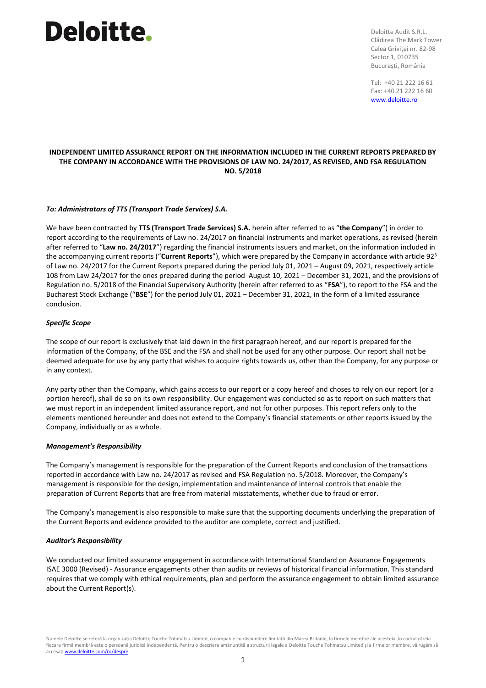## **Deloitte**.

Deloitte Audit S.R.L. Clădirea The Mark Tower Calea Griviței nr. 82-98 Sector 1, 010735 București, România

Tel: +40 21 222 16 61 Fax: +40 21 222 16 60 [www.deloitte.ro](http://www.deloitte.ro/)

### **INDEPENDENT LIMITED ASSURANCE REPORT ON THE INFORMATION INCLUDED IN THE CURRENT REPORTS PREPARED BY THE COMPANY IN ACCORDANCE WITH THE PROVISIONS OF LAW NO. 24/2017, AS REVISED, AND FSA REGULATION NO. 5/2018**

#### *To: Administrators of TTS (Transport Trade Services) S.A.*

We have been contracted by **TTS (Transport Trade Services) S.A.** herein after referred to as "**the Company**") in order to report according to the requirements of Law no. 24/2017 on financial instruments and market operations, as revised (herein after referred to "**Law no. 24/2017**") regarding the financial instruments issuers and market, on the information included in the accompanying current reports ("**Current Reports**"), which were prepared by the Company in accordance with article 92<sup>3</sup> of Law no. 24/2017 for the Current Reports prepared during the period July 01, 2021 – August 09, 2021, respectively article 108 from Law 24/2017 for the ones prepared during the period August 10, 2021 – December 31, 2021, and the provisions of Regulation no. 5/2018 of the Financial Supervisory Authority (herein after referred to as "**FSA**"), to report to the FSA and the Bucharest Stock Exchange ("**BSE**") for the period July 01, 2021 – December 31, 2021, in the form of a limited assurance conclusion.

#### *Specific Scope*

The scope of our report is exclusively that laid down in the first paragraph hereof, and our report is prepared for the information of the Company, of the BSE and the FSA and shall not be used for any other purpose. Our report shall not be deemed adequate for use by any party that wishes to acquire rights towards us, other than the Company, for any purpose or in any context.

Any party other than the Company, which gains access to our report or a copy hereof and choses to rely on our report (or a portion hereof), shall do so on its own responsibility. Our engagement was conducted so as to report on such matters that we must report in an independent limited assurance report, and not for other purposes. This report refers only to the elements mentioned hereunder and does not extend to the Company's financial statements or other reports issued by the Company, individually or as a whole.

#### *Management's Responsibility*

The Company's management is responsible for the preparation of the Current Reports and conclusion of the transactions reported in accordance with Law no. 24/2017 as revised and FSA Regulation no. 5/2018. Moreover, the Company's management is responsible for the design, implementation and maintenance of internal controls that enable the preparation of Current Reports that are free from material misstatements, whether due to fraud or error.

The Company's management is also responsible to make sure that the supporting documents underlying the preparation of the Current Reports and evidence provided to the auditor are complete, correct and justified.

#### *Auditor's Responsibility*

We conducted our limited assurance engagement in accordance with International Standard on Assurance Engagements ISAE 3000 (Revised) - Assurance engagements other than audits or reviews of historical financial information. This standard requires that we comply with ethical requirements, plan and perform the assurance engagement to obtain limited assurance about the Current Report(s).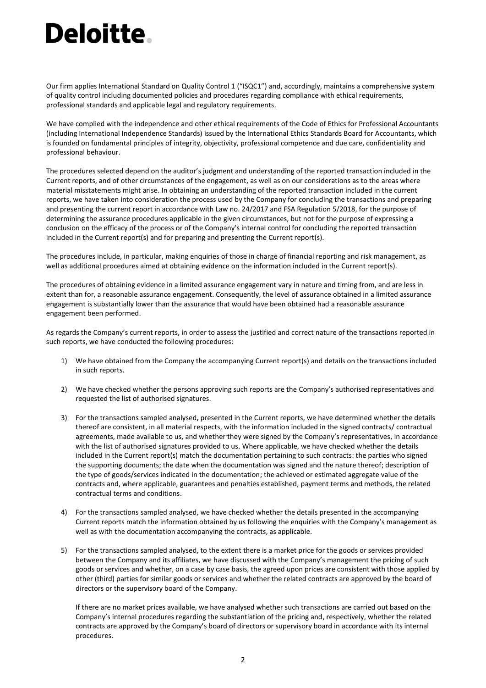# **Deloitte.**

Our firm applies International Standard on Quality Control 1 ("ISQC1") and, accordingly, maintains a comprehensive system of quality control including documented policies and procedures regarding compliance with ethical requirements, professional standards and applicable legal and regulatory requirements.

We have complied with the independence and other ethical requirements of the Code of Ethics for Professional Accountants (including International Independence Standards) issued by the International Ethics Standards Board for Accountants, which is founded on fundamental principles of integrity, objectivity, professional competence and due care, confidentiality and professional behaviour.

The procedures selected depend on the auditor's judgment and understanding of the reported transaction included in the Current reports, and of other circumstances of the engagement, as well as on our considerations as to the areas where material misstatements might arise. In obtaining an understanding of the reported transaction included in the current reports, we have taken into consideration the process used by the Company for concluding the transactions and preparing and presenting the current report in accordance with Law no. 24/2017 and FSA Regulation 5/2018, for the purpose of determining the assurance procedures applicable in the given circumstances, but not for the purpose of expressing a conclusion on the efficacy of the process or of the Company's internal control for concluding the reported transaction included in the Current report(s) and for preparing and presenting the Current report(s).

The procedures include, in particular, making enquiries of those in charge of financial reporting and risk management, as well as additional procedures aimed at obtaining evidence on the information included in the Current report(s).

The procedures of obtaining evidence in a limited assurance engagement vary in nature and timing from, and are less in extent than for, a reasonable assurance engagement. Consequently, the level of assurance obtained in a limited assurance engagement is substantially lower than the assurance that would have been obtained had a reasonable assurance engagement been performed.

As regards the Company's current reports, in order to assess the justified and correct nature of the transactions reported in such reports, we have conducted the following procedures:

- 1) We have obtained from the Company the accompanying Current report(s) and details on the transactions included in such reports.
- 2) We have checked whether the persons approving such reports are the Company's authorised representatives and requested the list of authorised signatures.
- 3) For the transactions sampled analysed, presented in the Current reports, we have determined whether the details thereof are consistent, in all material respects, with the information included in the signed contracts/ contractual agreements, made available to us, and whether they were signed by the Company's representatives, in accordance with the list of authorised signatures provided to us. Where applicable, we have checked whether the details included in the Current report(s) match the documentation pertaining to such contracts: the parties who signed the supporting documents; the date when the documentation was signed and the nature thereof; description of the type of goods/services indicated in the documentation; the achieved or estimated aggregate value of the contracts and, where applicable, guarantees and penalties established, payment terms and methods, the related contractual terms and conditions.
- 4) For the transactions sampled analysed, we have checked whether the details presented in the accompanying Current reports match the information obtained by us following the enquiries with the Company's management as well as with the documentation accompanying the contracts, as applicable.
- 5) For the transactions sampled analysed, to the extent there is a market price for the goods or services provided between the Company and its affiliates, we have discussed with the Company's management the pricing of such goods or services and whether, on a case by case basis, the agreed upon prices are consistent with those applied by other (third) parties for similar goods or services and whether the related contracts are approved by the board of directors or the supervisory board of the Company.

If there are no market prices available, we have analysed whether such transactions are carried out based on the Company's internal procedures regarding the substantiation of the pricing and, respectively, whether the related contracts are approved by the Company's board of directors or supervisory board in accordance with its internal procedures.